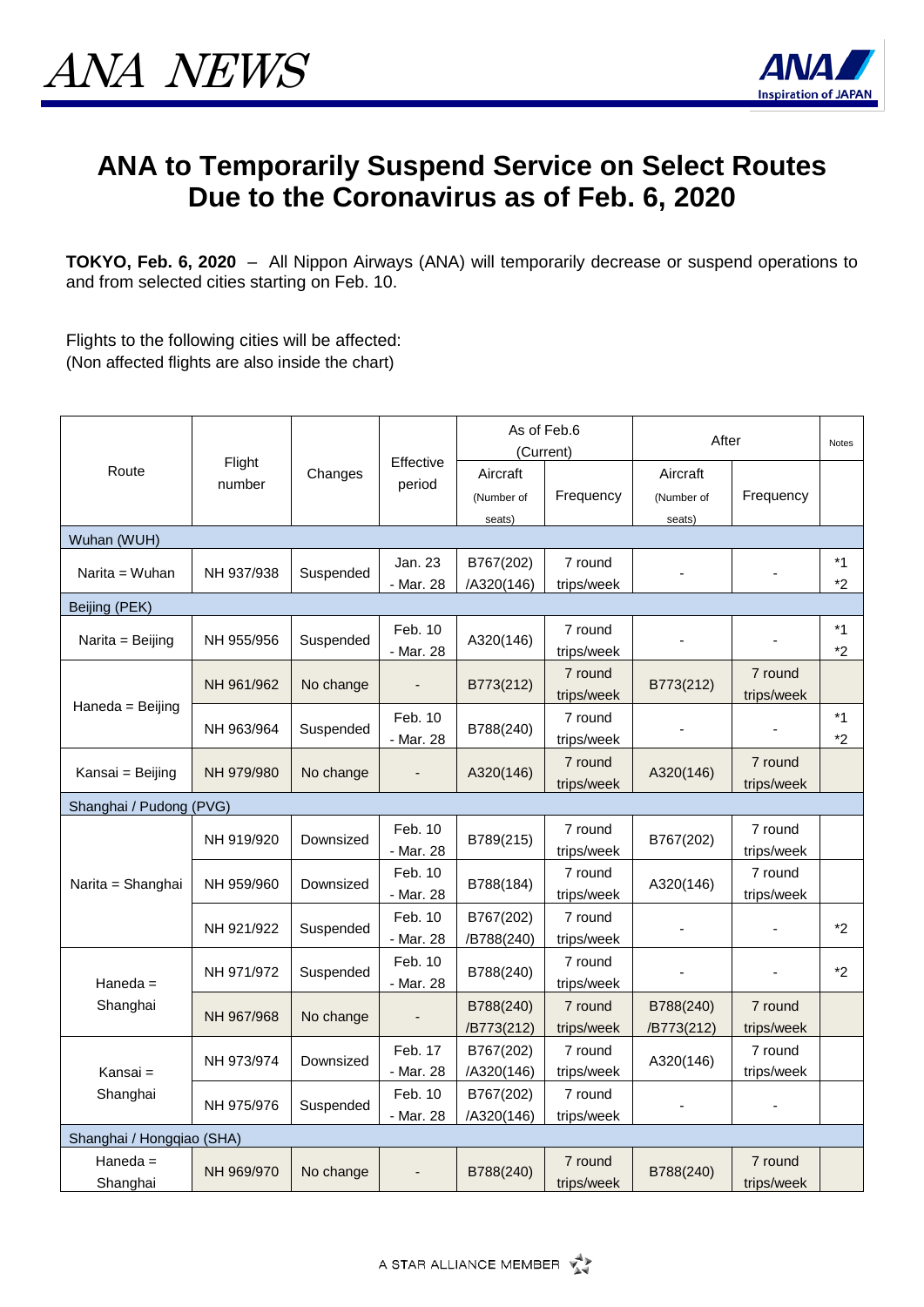

## **ANA to Temporarily Suspend Service on Select Routes Due to the Coronavirus as of Feb. 6, 2020**

**TOKYO, Feb. 6, 2020** – All Nippon Airways (ANA) will temporarily decrease or suspend operations to and from selected cities starting on Feb. 10.

Flights to the following cities will be affected: (Non affected flights are also inside the chart)

| Route                     | Flight<br>number | Changes   | Effective<br>period  | As of Feb.6<br>(Current)         |                       | After                            |                       | <b>Notes</b>    |  |  |
|---------------------------|------------------|-----------|----------------------|----------------------------------|-----------------------|----------------------------------|-----------------------|-----------------|--|--|
|                           |                  |           |                      | Aircraft<br>(Number of<br>seats) | Frequency             | Aircraft<br>(Number of<br>seats) | Frequency             |                 |  |  |
| Wuhan (WUH)               |                  |           |                      |                                  |                       |                                  |                       |                 |  |  |
| Narita = Wuhan            | NH 937/938       | Suspended | Jan. 23<br>- Mar. 28 | B767(202)<br>/A320(146)          | 7 round<br>trips/week |                                  |                       | *1<br>$*2$      |  |  |
| Beijing (PEK)             |                  |           |                      |                                  |                       |                                  |                       |                 |  |  |
| Narita = Beijing          | NH 955/956       | Suspended | Feb. 10<br>- Mar. 28 | A320(146)                        | 7 round<br>trips/week |                                  |                       | $*_{1}$<br>$*2$ |  |  |
| Haneda = Beijing          | NH 961/962       | No change | $\blacksquare$       | B773(212)                        | 7 round<br>trips/week | B773(212)                        | 7 round<br>trips/week |                 |  |  |
|                           | NH 963/964       | Suspended | Feb. 10<br>- Mar. 28 | B788(240)                        | 7 round<br>trips/week |                                  |                       | $*1$<br>$*_{2}$ |  |  |
| Kansai = Beijing          | NH 979/980       | No change | $\overline{a}$       | A320(146)                        | 7 round<br>trips/week | A320(146)                        | 7 round<br>trips/week |                 |  |  |
| Shanghai / Pudong (PVG)   |                  |           |                      |                                  |                       |                                  |                       |                 |  |  |
| Narita = Shanghai         | NH 919/920       | Downsized | Feb. 10<br>- Mar. 28 | B789(215)                        | 7 round<br>trips/week | B767(202)                        | 7 round<br>trips/week |                 |  |  |
|                           | NH 959/960       | Downsized | Feb. 10<br>- Mar. 28 | B788(184)                        | 7 round<br>trips/week | A320(146)                        | 7 round<br>trips/week |                 |  |  |
|                           | NH 921/922       | Suspended | Feb. 10<br>- Mar. 28 | B767(202)<br>/B788(240)          | 7 round<br>trips/week |                                  |                       | $*2$            |  |  |
| Haneda $=$<br>Shanghai    | NH 971/972       | Suspended | Feb. 10<br>- Mar. 28 | B788(240)                        | 7 round<br>trips/week |                                  |                       | $*2$            |  |  |
|                           | NH 967/968       | No change |                      | B788(240)<br>/B773(212)          | 7 round<br>trips/week | B788(240)<br>/B773(212)          | 7 round<br>trips/week |                 |  |  |
| Kansai =<br>Shanghai      | NH 973/974       | Downsized | Feb. 17<br>- Mar. 28 | B767(202)<br>/A320(146)          | 7 round<br>trips/week | A320(146)                        | 7 round<br>trips/week |                 |  |  |
|                           | NH 975/976       | Suspended | Feb. 10<br>- Mar. 28 | B767(202)<br>/A320(146)          | 7 round<br>trips/week |                                  |                       |                 |  |  |
| Shanghai / Hongqiao (SHA) |                  |           |                      |                                  |                       |                                  |                       |                 |  |  |
| Haneda $=$<br>Shanghai    | NH 969/970       | No change | $\blacksquare$       | B788(240)                        | 7 round<br>trips/week | B788(240)                        | 7 round<br>trips/week |                 |  |  |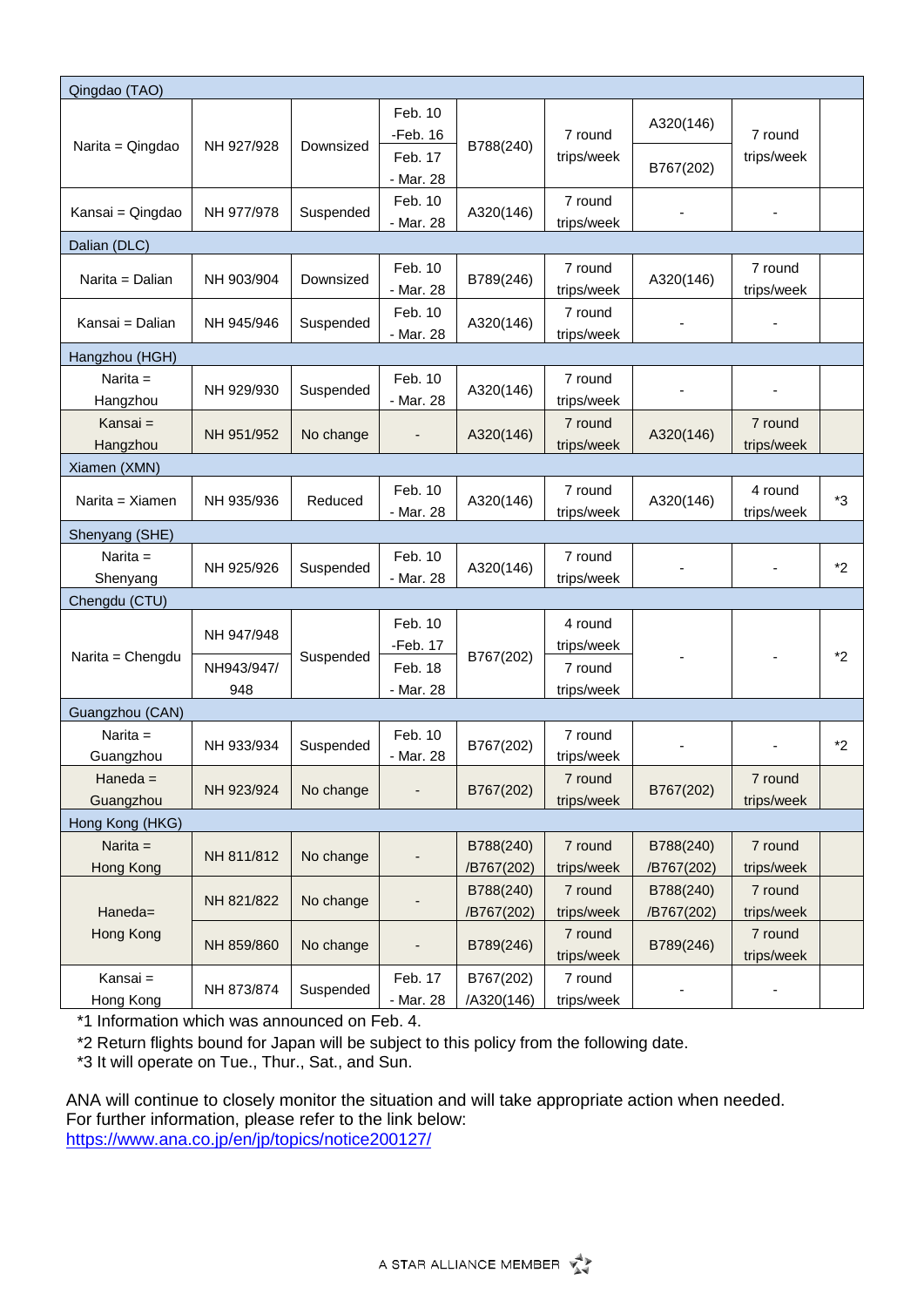| Qingdao (TAO)        |                   |           |                      |            |                       |            |                       |         |
|----------------------|-------------------|-----------|----------------------|------------|-----------------------|------------|-----------------------|---------|
| Narita = Qingdao     | NH 927/928        | Downsized | Feb. 10              | B788(240)  | 7 round<br>trips/week |            |                       |         |
|                      |                   |           | $-Feb. 16$           |            |                       | A320(146)  | 7 round               |         |
|                      |                   |           | Feb. 17              |            |                       | B767(202)  | trips/week            |         |
|                      |                   |           | - Mar. 28            |            |                       |            |                       |         |
| Kansai = Qingdao     | NH 977/978        | Suspended | Feb. 10<br>- Mar. 28 | A320(146)  | 7 round<br>trips/week |            |                       |         |
| Dalian (DLC)         |                   |           |                      |            |                       |            |                       |         |
|                      |                   |           | Feb. 10              |            | 7 round               |            | 7 round               |         |
| Narita = Dalian      | NH 903/904        | Downsized | - Mar. 28            | B789(246)  | trips/week            | A320(146)  | trips/week            |         |
| Kansai = Dalian      | NH 945/946        | Suspended | Feb. 10              | A320(146)  | 7 round               |            |                       |         |
|                      |                   |           | - Mar. 28            |            | trips/week            |            |                       |         |
| Hangzhou (HGH)       |                   |           |                      |            |                       |            |                       |         |
| Narita $=$           | NH 929/930        | Suspended | Feb. 10              | A320(146)  | 7 round               |            |                       |         |
| Hangzhou<br>Kansai = |                   |           | - Mar. 28            |            | trips/week<br>7 round |            | 7 round               |         |
| Hangzhou             | NH 951/952        | No change |                      | A320(146)  | trips/week            | A320(146)  | trips/week            |         |
| Xiamen (XMN)         |                   |           |                      |            |                       |            |                       |         |
| Narita = Xiamen      | NH 935/936        | Reduced   | Feb. 10              | A320(146)  | 7 round               | A320(146)  | 4 round               |         |
|                      |                   |           | - Mar. 28            |            | trips/week            |            | trips/week            | *3      |
| Shenyang (SHE)       |                   |           |                      |            |                       |            |                       |         |
| Narita $=$           | NH 925/926        | Suspended | Feb. 10              | A320(146)  | 7 round               |            |                       | $*_{2}$ |
| Shenyang             |                   |           | - Mar. 28            |            | trips/week            |            |                       |         |
| Chengdu (CTU)        |                   |           |                      |            |                       |            |                       |         |
|                      | NH 947/948        | Suspended | Feb. 10              | B767(202)  | 4 round               |            |                       |         |
| Narita = Chengdu     | NH943/947/<br>948 |           | -Feb. 17             |            | trips/week            |            |                       | $*2$    |
|                      |                   |           | Feb. 18<br>- Mar. 28 |            | 7 round<br>trips/week |            |                       |         |
| Guangzhou (CAN)      |                   |           |                      |            |                       |            |                       |         |
| Narita $=$           |                   |           | Feb. 10              |            | 7 round               |            |                       |         |
| Guangzhou            | NH 933/934        | Suspended | - Mar. 28            | B767(202)  | trips/week            |            |                       | $*_{2}$ |
| Haneda $=$           |                   | No change |                      | B767(202)  | 7 round               | B767(202)  | 7 round               |         |
| Guangzhou            | NH 923/924        |           |                      |            | trips/week            |            | trips/week            |         |
| Hong Kong (HKG)      |                   |           |                      |            |                       |            |                       |         |
| Narita $=$           | NH 811/812        | No change |                      | B788(240)  | 7 round               | B788(240)  | 7 round               |         |
| Hong Kong            |                   |           |                      | /B767(202) | trips/week            | /B767(202) | trips/week            |         |
|                      | NH 821/822        | No change |                      | B788(240)  | 7 round               | B788(240)  | 7 round               |         |
| Haneda=<br>Hong Kong |                   |           |                      | /B767(202) | trips/week<br>7 round | /B767(202) | trips/week<br>7 round |         |
|                      | NH 859/860        | No change |                      | B789(246)  | trips/week            | B789(246)  | trips/week            |         |
| Kansai =             | NH 873/874        | Suspended | Feb. 17              | B767(202)  | 7 round               |            |                       |         |
| Hong Kong            |                   |           | - Mar. 28            | /A320(146) | trips/week            |            |                       |         |

\*1 Information which was announced on Feb. 4.

\*2 Return flights bound for Japan will be subject to this policy from the following date.

\*3 It will operate on Tue., Thur., Sat., and Sun.

ANA will continue to closely monitor the situation and will take appropriate action when needed. For further information, please refer to the link below: <https://www.ana.co.jp/en/jp/topics/notice200127/>